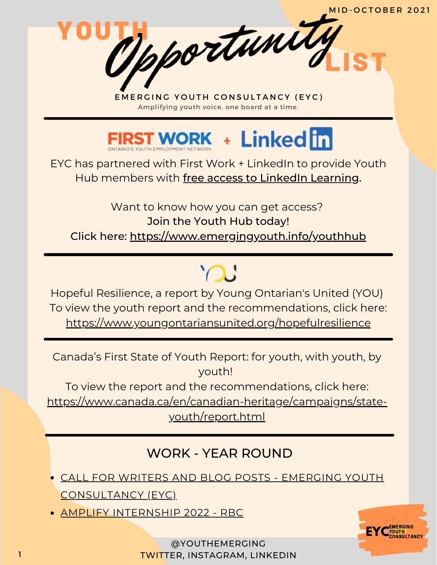

EYC has partnered with First Work + LinkedIn to provide Youth Hub members with free access to LinkedIn Learning.

Want to know how you can get access? Join the Youth Hub today! Click here: <https://www.emergingyouth.info/youthhub>

Hopeful Resilience, a report by Young Ontarian's United (YOU) To view the youth report and the recommendations, click here: <https://www.youngontariansunited.org/hopefulresilience>

 $\bigcap$ 

Canada's First State of Youth Report: for youth, with youth, by youth!

To view the report and the recommendations, click here:

[https://www.canada.ca/en/canadian-heritage/campaigns/state-](https://www.canada.ca/en/canadian-heritage/campaigns/state-youth/report.html)

youth/report.html

# WORK - YEAR ROUND

- CALL FOR WRITERS AND BLOG POSTS EMERGING YOUTH [CONSULTANCY](https://www.emergingyouth.info/youthhub) (EYC)
- AMPLIFY [INTERNSHIP](https://jobs.rbc.com/ca/en/amplify#Amplify2022_Jobs) 2022 RBC

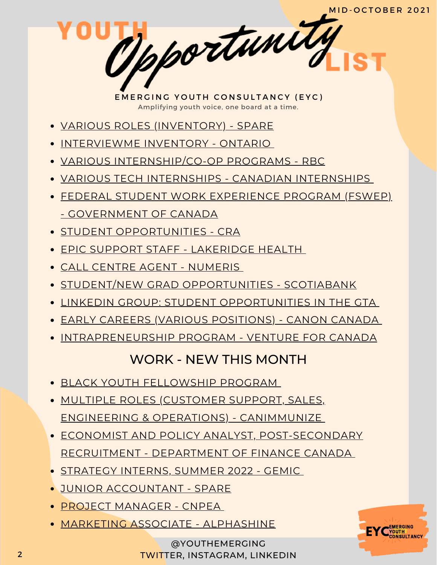- VARIOUS ROLES [\(INVENTORY\)](https://jobs.lever.co/sparelabs/90ac2a45-b8fe-4004-97ca-4f37d88bcf70) SPARE
- [INTERVIEWME](https://marsdd.formstack.com/forms/interviewme_ontario) INVENTORY ONTARIO
- VARIOUS [INTERNSHIP/CO-OP](https://jobs.rbc.com/ca/en/featuredopportunities/student-early-talent-jobs) PROGRAMS RBC
- VARIOUS TECH INTERNSHIPS CANADIAN [INTERNSHIPS](https://www.findcanadianinternships.ca/)
- FEDERAL STUDENT WORK EXPERIENCE PROGRAM (FSWEP) - [GOVERNMENT](https://www.canada.ca/en/public-service-commission/jobs/services/recruitment/students/federal-student-work-program.html) OF CANADA
- **STUDENT [OPPORTUNITIES](https://careers-carrieres.cra-arc.gc.ca/gol-ged/wcis/pub/rtrvjbpst.action?pi=D06726B228B01EDBB2C1A18D2C3EA0F2) CRA**
- EPIC SUPPORT STAFF [LAKERIDGE](https://careers.lakeridgehealth.on.ca/eRecruit/VacancyDetail.aspx?VacancyUID=000000033155) HEALTH
- CALL CENTRE AGENT [NUMERIS](https://numeris.csod.com/ux/ats/careersite/6/home/requisition/406?c=numeris)
- STUDENT/NEW GRAD [OPPORTUNITIES](https://jobs.scotiabank.com/go/Student-&-New-Grad-Jobs/2298417/?utm_campaign=JB_Sept20_Campus_CareerSite_CTA_EN) SCOTIABANK
- LINKEDIN GROUP: STUDENT [OPPORTUNITIES](https://www.linkedin.com/groups/12455311) IN THE GTA
- EARLY CAREERS (VARIOUS [POSITIONS\)](https://careers.canon.ca/early-careers/) CANON CANADA
- [INTRAPRENEURSHIP](https://ventureforcanada.ca/programs/intrapreneurship) PROGRAM VENTURE FOR CANADA

## WORK - NEW THIS MONTH

- BLACK YOUTH [FELLOWSHIP](https://form.jotform.com/212453196820050) PROGRAM
- MULTIPLE ROLES (CUSTOMER SUPPORT, SALES, ENGINEERING & OPERATIONS) - [CANIMMUNIZE](https://jobs.lever.co/canimmunize)
- ECONOMIST AND POLICY ANALYST, [POST-SECONDARY](https://emploisfp-psjobs.cfp-psc.gc.ca/psrs-srfp/applicant/page1800?poster=1659246) RECRUITMENT - DEPARTMENT OF FINANCE CANADA
- [STRATEGY](https://gemic.com/position/call-for-strategy-interns-summer-2022/) INTERNS, SUMMER 2022 GEMIC
- JUNIOR [ACCOUNTANT](https://jobs.lever.co/sparelabs/137a1959-443e-414f-b90c-86799e03da69) SPARE
- PROJECT [MANAGER](https://cnpea.ca/en/about-cnpea/blog/1229-we-re-expanding-our-team) CNPE[A](https://cnpea.ca/en/about-cnpea/blog/1229-we-re-expanding-our-team)
- MARKETING ASSOCIATE [ALPHASHINE](https://www.linkedin.com/jobs/view/2746070450/)



@YOUTHEMERGING 2 TWITTER, INSTAGRAM, LINKEDIN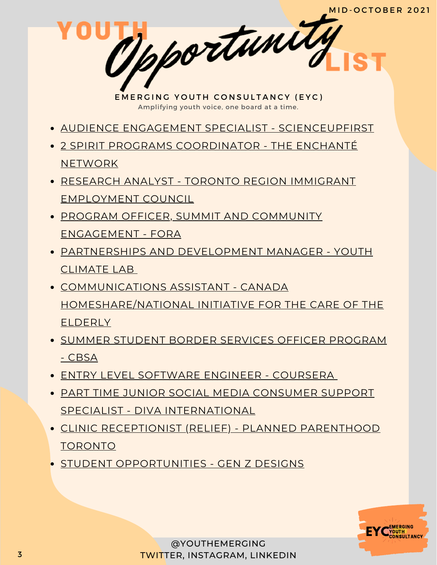- AUDIENCE ENGAGEMENT SPECIALIST [SCIENCEUPFIRST](https://www.scienceupfirst.com/wp-content/uploads/2021/09/SUF_AudienceEngagementSpecialist_EN.pdf)
- 2 SPIRIT PROGRAMS [COORDINATOR](https://enchantenetwork.ca/en/job-description-2-spirit-programs-coordinator/) THE ENCHANTÉ **NETWORK**
- RESEARCH ANALYST TORONTO REGION IMMIGRANT [EMPLOYMENT](https://triec.ca/wp-content/uploads/2021/10/TRIEC-Research-Specialist.pdf) COUNCIL
- **PROGRAM OFFICER, SUMMIT AND COMMUNITY** [ENGAGEMENT](https://static1.squarespace.com/static/6114116720eaa64d55c7239a/t/615d0611138d805d58cf04b7/1633486353383/October+2021_Job+Description_Program+Officer%5B85%5D.pdf) - FORA
- [PARTNERSHIPS](https://www.youthclimatelab.org/join-the-team) AND DEVELOPMENT MANAGER YOUTH CLIMATE LAB
- COMMUNICATIONS ASSISTANT CANADA [HOMESHARE/NATIONAL](https://uploads-ssl.webflow.com/60930ab0111822735f3b9f02/615d94f033866e698d395cea_Canada%20HomeShare%20Communications%20Assistant%20JD.pdf) INITIATIVE FOR THE CARE OF THE ELDERLY
- SUMMER STUDENT BORDER SERVICES OFFICER [PROGRAM](https://emploisfp-psjobs.cfp-psc.gc.ca/srs-sre/page01.htm?poster=822&lang=en) - CBSA
- ENTRY LEVEL [SOFTWARE](https://jobs.lever.co/coursera/76cfc6e3-ecce-4e4b-80f1-d2d1f1e2a4dd?lever-via=xp2WksmwPq) ENGINEER COURSER[A](https://jobs.lever.co/coursera/76cfc6e3-ecce-4e4b-80f1-d2d1f1e2a4dd?lever-via=xp2WksmwPq)
- PART TIME JUNIOR SOCIAL MEDIA CONSUMER SUPPORT SPECIALIST - DIVA [INTERNATIONAL](https://divainternationalinc.applytojob.com/apply/vSXAbMLqvI/PartTime-Junior-Social-Media-Consumer-Support-Specialist)
- CLINIC [RECEPTIONIST](http://ppt.on.ca/job/clinic-reception-relief/) (RELIEF) PLANNED PARENTHOOD TORONTO
- **STUDENT [OPPORTUNITIES](https://www.linkedin.com/posts/andrew-roth43_students-genz-studentsoflinkedin-activity-6849051452443381760-srPu/) GEN Z DESIGNS**

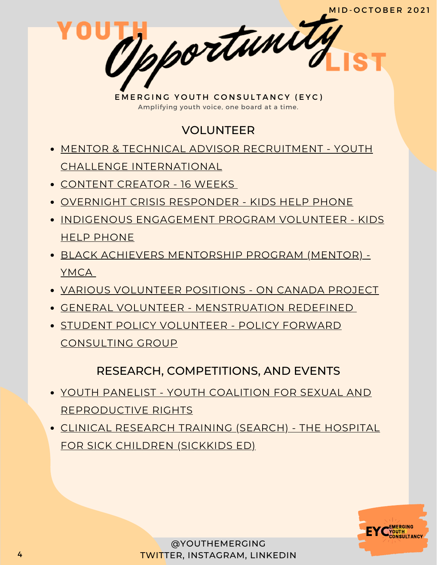### VOLUNTEER

- MENTOR & TECHNICAL ADVISOR RECRUITMENT YOUTH CHALLENGE [INTERNATIONAL](https://www.yci.org/InnovateMYFuture/Climate-Leader-call-for-mentors/)
- [CONTENT](https://docs.google.com/forms/d/e/1FAIpQLSdrPDQyYnWAdQ9yYXP0GKw-ftm8b_vwJzkFtFke8Lme939OPA/viewform) CREATOR 16 WEEKS
- OVERNIGHT CRISIS [RESPONDER](https://kidshelpphone.ca/get-involved/participate/call-volunteers-crisis-text-line) KIDS HELP PHONE
- INDIGENOUS [ENGAGEMENT](https://kidshelpphone.ca/get-involved/first-nations-inuit-and-metis/volunteer-for-our-indigenous-engagement-program/) PROGRAM VOLUNTEER KIDS HELP PHONE
- BLACK ACHIEVERS [MENTORSHIP](https://ymcagta.org/youth-programs/Black-Achievers-Mentorship-Program) PROGRAM (MENTOR) YMCA
- VARIOUS [VOLUNTEER](https://docs.google.com/forms/d/e/1FAIpQLSciMF1ROT1f_mGS2Wx822QU0zDYcf3zka0UC9rIAM9z03W8Pw/viewform) POSITIONS ON CANADA PROJECT
- GENERAL VOLUNTEER [MENSTRUATION](https://docs.google.com/forms/d/e/1FAIpQLSe-ORQRxArU5ZwQWT3JfGEjRtyUwanp5p64UPHwK1nL5Pz__w/viewform) REDEFINED
- **STUDENT POLICY VOLUNTEER POLICY FORWARD** [CONSULTING](https://www.linkedin.com/posts/policy-forward-consulting-group_policyforward-policyconsultants-volunteer-activity-6848327793269387264-k9jy) GROUP

#### RESEARCH, COMPETITIONS, AND EVENTS

- YOUTH PANELIST YOUTH COALITION FOR SEXUAL AND [REPRODUCTIVE](https://docs.google.com/forms/d/e/1FAIpQLSe0BGk2OkllyFpY1fxyTyi8NHt1NC6m4wOmiIVW0qPU27wF-A/viewform) RIGHTS
- CLINICAL [RESEARCH](https://www.sickkids.ca/en/careers-volunteer/volunteering/search-training-program/) TRAINING (SEARCH) THE HOSPITAL FOR SICK CHILDREN (SICKKIDS ED)

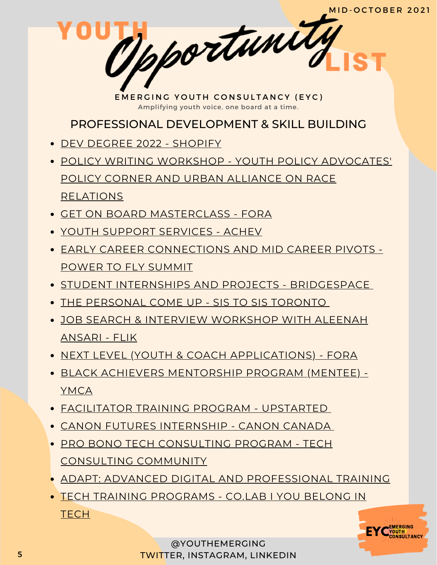PROFESSIONAL DEVELOPMENT & SKILL BUILDING

- DEV DEGREE 2022 [SHOPIFY](https://jobs.smartrecruiters.com/ni/Shopify/f92f7d2f-7359-4066-9111-7df6054c6dc6-dev-degree-2022)
- POLICY WRITING WORKSHOP YOUTH POLICY [ADVOCATES'](https://www.linkedin.com/posts/ypa-policycorner_training-event-policywriting-activity-6848999489592725504-BOQt) POLICY CORNER AND URBAN ALLIANCE ON RACE RELATIONS
- GET ON BOARD [MASTERCLASS](https://girls20.submittable.com/submit) FORA
- YOUTH SUPPORT [SERVICES](https://achev.ca/services/youth/) ACHEV
- EARLY CAREER [CONNECTIONS](https://summit.powertofly.com/) AND MID CAREER PIVOTS POWER TO FLY SUMMIT
- **STUDENT INTERNSHIPS AND PROJECTS [BRIDGESPACE](https://bridgespace.io/)**
- THE [PERSONAL](https://docs.google.com/forms/d/e/1FAIpQLSckp26KhOm7DfXsaNb0_JDS_plLspDnUygOP1cPJbexch6XDA/viewform) COME UP SIS TO SIS TORONTO
- JOB SEARCH & INTERVIEW [WORKSHOP](https://www.runtheworld.today/app/c/jobsearch-interviewskills) WITH ALEENAH ANSARI - FLIK
- NEXT LEVEL (YOUTH & COACH [APPLICATIONS\)](https://girls20.submittable.com/submit) FORA
- BLACK ACHIEVERS [MENTORSHIP](https://ymcagta.org/youth-programs/Black-Achievers-Mentorship-Program) PROGRAM (MENTEE) YMCA
- [FACILITATOR](https://docs.google.com/forms/d/e/1FAIpQLSe1fDhYODRagameDOKsf4_FfWns-yNAQEeNTHWK5Pn7XxHuog/viewform) TRAINING PROGRAM UPSTARTED
- CANON FUTURES [INTERNSHIP](https://www.canonfutures.ca/) CANON CANADA
- PRO BONO TECH [CONSULTING](https://techconsultingcommunity.com/pro-bono-tech-consulting/) PROGRAM TECH CONSULTING COMMUNITY
- ADAPT: ADVANCED DIGITAL AND [PROFESSIONAL](https://www.ryerson.ca/adapt/) TRAINING
- TECH TRAINING [PROGRAMS](https://www.joincolab.io/#Program-Tracks) CO.LAB I YOU BELONG IN **TECH**

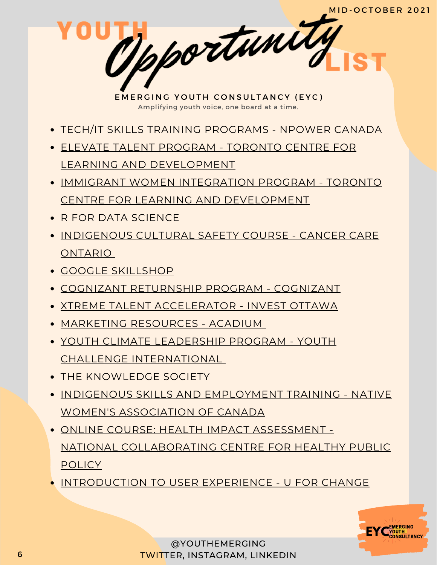- TECH/IT SKILLS TRAINING [PROGRAMS](https://npowercanada.ca/) NPOWER CANADA
- ELEVATE TALENT PROGRAM TORONTO CENTRE FOR LEARNING AND [DEVELOPMENT](https://www.tccld.org/programs/elevatetalent/)
- IMMIGRANT WOMEN INTEGRATION PROGRAM TORONTO CENTRE FOR LEARNING AND [DEVELOPMENT](https://survey.zohopublic.com/zs/I5CCbQ)
- R FOR DATA [SCIENCE](https://r4ds.had.co.nz/)
- **[INDIGENOUS](https://elearning.cancercare.on.ca/course/view.php?id=101) CULTURAL SAFETY COURSE CANCER CARE** ONTARIO
- GOOGLE [SKILLSHOP](https://skillshop.withgoogle.com/)
- COGNIZANT [RETURNSHIP](https://careers.cognizant.com/global/en/cognizant-returnship-program) PROGRAM COGNIZANT
- XTREME TALENT [ACCELERATOR](https://www.investottawa.ca/xtreme-talent-accelerator/?utm_source=LinkedIn&utm_medium=Paid%20Ads&utm_campaign=XTAP%20Paid%20Ads&li_fat_id=f24b5ec5-db43-4428-88f9-92b5a2d0c0dc) INVEST OTTAWA
- MARKETING [RESOURCES](https://acadium.com/) ACADIUM
- YOUTH CLIMATE LEADERSHIP PROGRAM YOUTH CHALLENGE [INTERNATIONAL](https://www.yci.org/innovatemyfuture/youth-climate-leadership/)
- THE [KNOWLEDGE](https://tks.world/program/) SOCIETY
- **INDIGENOUS SKILLS AND [EMPLOYMENT](https://www.nwac.ca/iset/) TRAINING NATIVE** WOMEN'S ASSOCIATION OF CANADA
- ONLINE COURSE: HEALTH IMPACT ASSESSMENT NATIONAL [COLLABORATING](https://www.ncchpp.ca/274/online-course.ccnpps) CENTRE FOR HEALTHY PUBLIC **POLICY**
- [INTRODUCTION](https://docs.google.com/forms/d/e/1FAIpQLSctSd9ZAcZBpswQj0URzEHVXlpF--qyT2AR6_1tKyoFS1iIYQ/viewform) TO USER EXPERIENCE U FOR CHANGE

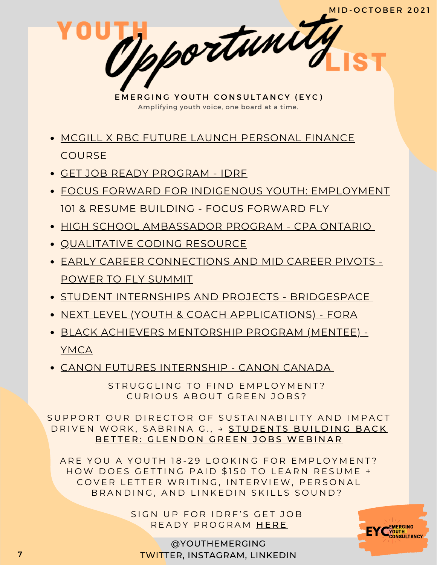- MCGILL X RBC FUTURE LAUNCH [PERSONAL](https://learn.mcgillpersonalfinance.com/account/login/) FINANCE COURSE
- GET JOB READY [PROGRAM](https://idrf.ca/project/getjobready/) IDRF
- FOCUS FORWARD FOR INDIGENOUS YOUTH: [EMPLOYMENT](https://docs.google.com/forms/d/e/1FAIpQLSfRCREo2hIabn1L271SDl0wPRkApB5N12_6bON-DnyYu8lGEg/viewform) 101 & RESUME BUILDING - FOCUS FORWARD FLY
- HIGH SCHOOL [AMBASSADOR](https://www.cpaontario.ca/become-a-cpa/why-cpa/high-school-ambassador-program) PROGRAM CPA ONTARIO
- [QUALITATIVE](https://www.linkedin.com/posts/drphilipadu_qualitative-data-coding-workshop-activity-6819644783024230400-d0mU/) CODING RESOURCE
- EARLY CAREER [CONNECTIONS](https://summit.powertofly.com/) AND MID CAREER PIVOTS POWER TO FLY SUMMIT
- **STUDENT INTERNSHIPS AND PROJECTS [BRIDGESPACE](https://bridgespace.io/)**
- NEXT LEVEL (YOUTH & COACH [APPLICATIONS\)](https://girls20.submittable.com/submit) FORA
- BLACK ACHIEVERS [MENTORSHIP](https://ymcagta.org/youth-programs/Black-Achievers-Mentorship-Program) PROGRAM (MENTEE) YMCA
- CANON FUTURES [INTERNSHIP](https://www.canonfutures.ca/) CANON CANADA

STRUGGLING TO FIND EMPLOYMENT? CURIOUS ABOUT GREEN JOBS?

SUPPORT OUR DIRECTOR OF SUSTAINABILITY AND IMPACT DRIVEN WORK, SABRINA G., → STUDENTS BUILDING BACK BETTER: GLENDON GREEN JOBS [W](https://www.eventbrite.ca/e/students-building-back-better-glendon-green-jobs-webinar-tickets-186409675357)EBINAR

ARE YOU A YOUTH 18-29 LOOKING FOR EMPLOYMENT? HOW DOES GETTING PAID \$150 TO LEARN RESUME + COVER LETTER WRITING, INTERVIEW, PERSONAL BRANDING, AND LINKEDIN SKILLS SOUND?

> SIGN UP FOR IDRF'S GET JOB READY PROGRAM [H](https://idrf.ca/project/getjobready/)ERE